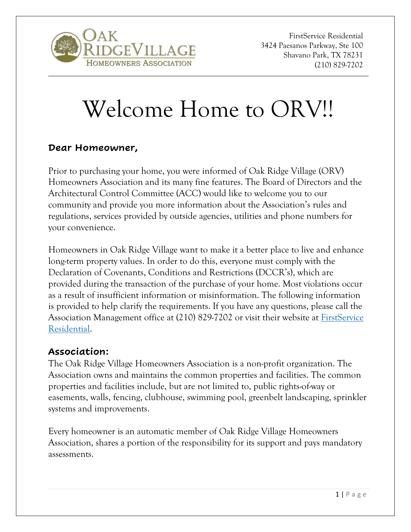

# Welcome Home to ORV!!

#### **Dear Homeowner,**

Prior to purchasing your home, you were informed of Oak Ridge Village (ORV) Homeowners Association and its many fine features. The Board of Directors and the Architectural Control Committee (ACC) would like to welcome you to our community and provide you more information about the Association's rules and regulations, services provided by outside agencies, utilities and phone numbers for your convenience.

Homeowners in Oak Ridge Village want to make it a better place to live and enhance long-term property values. In order to do this, everyone must comply with the Declaration of Covenants, Conditions and Restrictions (DCCR's), which are provided during the transaction of the purchase of your home. Most violations occur as a result of insufficient information or misinformation. The following information is provided to help clarify the requirements. If you have any questions, please call the Association Management office at (210) 829-7202 or visit their website at [FirstService](http://fsresidentialsa.com/fsr/home.asp)  [Residential.](http://fsresidentialsa.com/fsr/home.asp)

#### **Association:**

The Oak Ridge Village Homeowners Association is a non-profit organization. The Association owns and maintains the common properties and facilities. The common properties and facilities include, but are not limited to, public rights-of-way or easements, walls, fencing, clubhouse, swimming pool, greenbelt landscaping, sprinkler systems and improvements.

Every homeowner is an automatic member of Oak Ridge Village Homeowners Association, shares a portion of the responsibility for its support and pays mandatory assessments.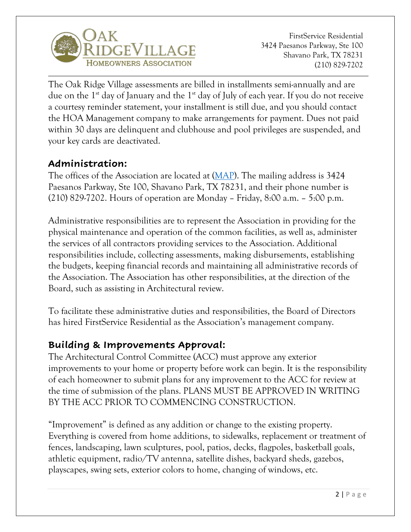

The Oak Ridge Village assessments are billed in installments semi-annually and are due on the  $1^{st}$  day of January and the  $1^{st}$  day of July of each year. If you do not receive a courtesy reminder statement, your installment is still due, and you should contact the HOA Management company to make arrangements for payment. Dues not paid within 30 days are delinquent and clubhouse and pool privileges are suspended, and your key cards are deactivated.

## **Administration:**

The offices of the Association are located at [\(MAP\)](https://www.mapquest.com/directions/from/us/tx/san-antonio/78231-4410/3424-paesanos-pkwy-ste-100-29.600279,-98.548834/to/us/tx/san-antonio/78231-4410/3424-paesanos-pkwy-ste-100-29.600279,-98.548834). The mailing address is 3424 Paesanos Parkway, Ste 100, Shavano Park, TX 78231, and their phone number is (210) 829-7202. Hours of operation are Monday – Friday, 8:00 a.m. – 5:00 p.m.

Administrative responsibilities are to represent the Association in providing for the physical maintenance and operation of the common facilities, as well as, administer the services of all contractors providing services to the Association. Additional responsibilities include, collecting assessments, making disbursements, establishing the budgets, keeping financial records and maintaining all administrative records of the Association. The Association has other responsibilities, at the direction of the Board, such as assisting in Architectural review.

To facilitate these administrative duties and responsibilities, the Board of Directors has hired FirstService Residential as the Association's management company.

## **Building & Improvements Approval:**

The Architectural Control Committee (ACC) must approve any exterior improvements to your home or property before work can begin. It is the responsibility of each homeowner to submit plans for any improvement to the ACC for review at the time of submission of the plans. PLANS MUST BE APPROVED IN WRITING BY THE ACC PRIOR TO COMMENCING CONSTRUCTION.

"Improvement" is defined as any addition or change to the existing property. Everything is covered from home additions, to sidewalks, replacement or treatment of fences, landscaping, lawn sculptures, pool, patios, decks, flagpoles, basketball goals, athletic equipment, radio/TV antenna, satellite dishes, backyard sheds, gazebos, playscapes, swing sets, exterior colors to home, changing of windows, etc.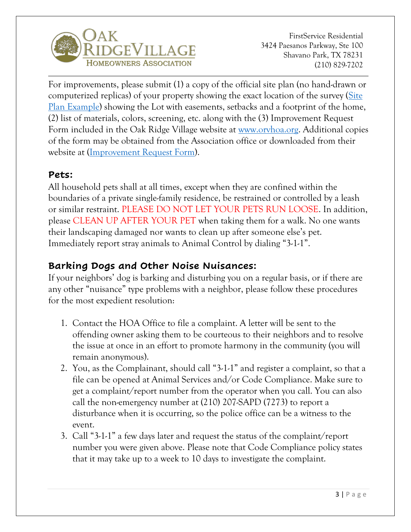

For improvements, please submit (1) a copy of the official site plan (no hand-drawn or computerized replicas) of your property showing the exact location of the survey [\(Site](https://orvhoa.org/wp-content/uploads/2020/01/ORV-Survey-Sample.pdf)  [Plan Example\)](https://orvhoa.org/wp-content/uploads/2020/01/ORV-Survey-Sample.pdf) showing the Lot with easements, setbacks and a footprint of the home, (2) list of materials, colors, screening, etc. along with the (3) Improvement Request Form included in the Oak Ridge Village website at [www.orvhoa.org.](http://www.orvhoa.org/) Additional copies of the form may be obtained from the Association office or downloaded from their website at [\(Improvement Request Form\)](http://fsresidentialsa.com/fsr/eform_detail.asp?id=8&name=Request+Architectural+Assistance).

## **Pets:**

All household pets shall at all times, except when they are confined within the boundaries of a private single-family residence, be restrained or controlled by a leash or similar restraint. PLEASE DO NOT LET YOUR PETS RUN LOOSE. In addition, please CLEAN UP AFTER YOUR PET when taking them for a walk. No one wants their landscaping damaged nor wants to clean up after someone else's pet. Immediately report stray animals to Animal Control by dialing "3-1-1".

## **Barking Dogs and Other Noise Nuisances:**

If your neighbors' dog is barking and disturbing you on a regular basis, or if there are any other "nuisance" type problems with a neighbor, please follow these procedures for the most expedient resolution:

- 1. Contact the HOA Office to file a complaint. A letter will be sent to the offending owner asking them to be courteous to their neighbors and to resolve the issue at once in an effort to promote harmony in the community (you will remain anonymous).
- 2. You, as the Complainant, should call "3-1-1" and register a complaint, so that a file can be opened at Animal Services and/or Code Compliance. Make sure to get a complaint/report number from the operator when you call. You can also call the non-emergency number at (210) 207-SAPD (7273) to report a disturbance when it is occurring, so the police office can be a witness to the event.
- 3. Call "3-1-1" a few days later and request the status of the complaint/report number you were given above. Please note that Code Compliance policy states that it may take up to a week to 10 days to investigate the complaint.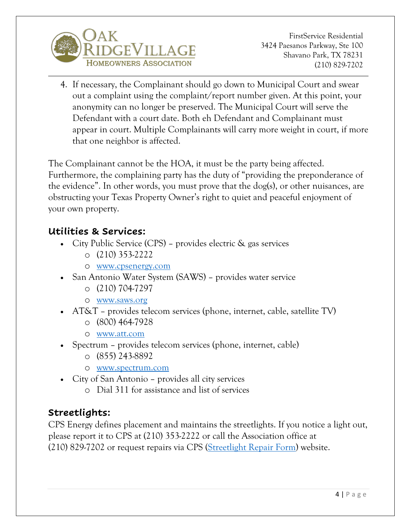

4. If necessary, the Complainant should go down to Municipal Court and swear out a complaint using the complaint/report number given. At this point, your anonymity can no longer be preserved. The Municipal Court will serve the Defendant with a court date. Both eh Defendant and Complainant must appear in court. Multiple Complainants will carry more weight in court, if more that one neighbor is affected.

The Complainant cannot be the HOA, it must be the party being affected. Furthermore, the complaining party has the duty of "providing the preponderance of the evidence". In other words, you must prove that the dog(s), or other nuisances, are obstructing your Texas Property Owner's right to quiet and peaceful enjoyment of your own property.

#### **Utilities & Services:**

- City Public Service (CPS) provides electric & gas services
	- o (210) 353-2222
	- o [www.cpsenergy.com](http://www.cpsenergy.com/)
- San Antonio Water System (SAWS) provides water service
	- o (210) 704-7297
	- o [www.saws.org](http://www.saws.org/)
- AT&T provides telecom services (phone, internet, cable, satellite TV)
	- o (800) 464-7928
	- o [www.att.com](http://www.att.com/)
- Spectrum provides telecom services (phone, internet, cable)
	- o (855) 243-8892
	- o [www.spectrum.com](http://www.spectrum.com/)
- City of San Antonio provides all city services
	- o Dial 311 for assistance and list of services

# **Streetlights:**

CPS Energy defines placement and maintains the streetlights. If you notice a light out, please report it to CPS at (210) 353-2222 or call the Association office at (210) 829-7202 or request repairs via CPS [\(Streetlight Repair Form\)](https://www.cpsenergy.com/en/forms/employee_form--20171.html) website.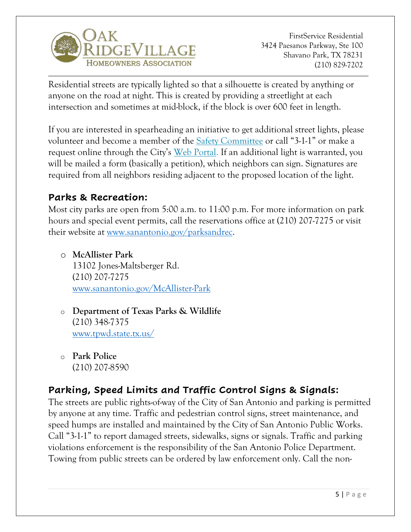

Residential streets are typically lighted so that a silhouette is created by anything or anyone on the road at night. This is created by providing a streetlight at each intersection and sometimes at mid-block, if the block is over 600 feet in length.

If you are interested in spearheading an initiative to get additional street lights, please volunteer and become a member of the Safety Committee or call "3-1-1" or make a request online through the City's Web Portal. If an additional light is warranted, you will be mailed a form (basically a petition), which neighbors can sign. Signatures are required from all neighbors residing adjacent to the proposed location of the light.

## **Parks & Recreation:**

Most city parks are open from 5:00 a.m. to 11:00 p.m. For more information on park hours and special event permits, call the reservations office at (210) 207-7275 or visit their website at [www.sanantonio.gov/parksandrec.](http://www.sanantonio.gov/parksandrec)

o **McAllister Park** 13102 Jones-Maltsberger Rd. (210) 207-7275 [www.sanantonio.gov/McAllister-Park](https://www.sanantonio.gov/ParksAndRec/Parks-Facilities/All-Parks-Facilities/Parks-Facilities-Details/ArtMID/14820/ArticleID/2578/McAllister-Park)

- o **Department of Texas Parks & Wildlife** (210) 348-7375 [www.tpwd.state.tx.us/](http://www.tpwd.state.tx.us/)
- o **Park Police** (210) 207-8590

# **Parking, Speed Limits and Traffic Control Signs & Signals:**

The streets are public rights-of-way of the City of San Antonio and parking is permitted by anyone at any time. Traffic and pedestrian control signs, street maintenance, and speed humps are installed and maintained by the City of San Antonio Public Works. Call "3-1-1" to report damaged streets, sidewalks, signs or signals. Traffic and parking violations enforcement is the responsibility of the San Antonio Police Department. Towing from public streets can be ordered by law enforcement only. Call the non-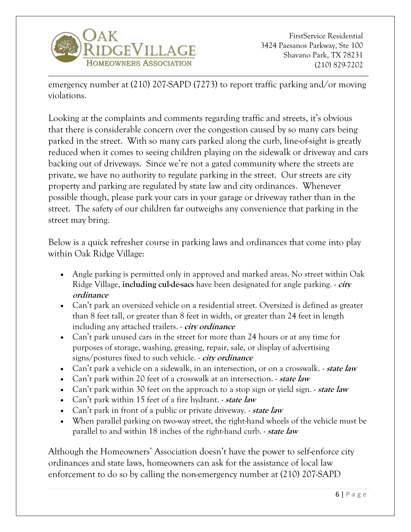

emergency number at (210) 207-SAPD (7273) to report traffic parking and/or moving violations.

Looking at the complaints and comments regarding traffic and streets, it's obvious that there is considerable concern over the congestion caused by so many cars being parked in the street. With so many cars parked along the curb, line-of-sight is greatly reduced when it comes to seeing children playing on the sidewalk or driveway and cars backing out of driveways. Since we're not a gated community where the streets are private, we have no authority to regulate parking in the street. Our streets are city property and parking are regulated by state law and city ordinances. Whenever possible though, please park your cars in your garage or driveway rather than in the street. The safety of our children far outweighs any convenience that parking in the street may bring.

Below is a quick refresher course in parking laws and ordinances that come into play within Oak Ridge Village:

- Angle parking is permitted only in approved and marked areas. No street within Oak Ridge Village, **including cul-de-sacs** have been designated for angle parking. - **city ordinance**
- Can't park an oversized vehicle on a residential street. Oversized is defined as greater than 8 feet tall, or greater than 8 feet in width, or greater than 24 feet in length including any attached trailers. - **city ordinance**
- Can't park unused cars in the street for more than 24 hours or at any time for purposes of storage, washing, greasing, repair, sale, or display of advertising signs/postures fixed to such vehicle. - **city ordinance**
- Can't park a vehicle on a sidewalk, in an intersection, or on a crosswalk. **state law**
- Can't park within 20 feet of a crosswalk at an intersection. **state law**
- Can't park within 30 feet on the approach to a stop sign or yield sign.  *state law*
- Can't park within 15 feet of a fire hydrant. **state law**
- Can't park in front of a public or private driveway. **state law**
- When parallel parking on two-way street, the right-hand wheels of the vehicle must be parallel to and within 18 inches of the right-hand curb. - **state law**

Although the Homeowners' Association doesn't have the power to self-enforce city ordinances and state laws, homeowners can ask for the assistance of local law enforcement to do so by calling the non-emergency number at (210) 207-SAPD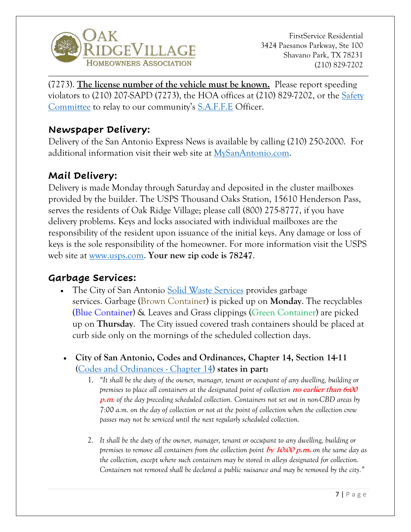

(7273). **The license number of the vehicle must be known.** Please report speeding violators to  $(210)$  207-SAPD (7273), the HOA offices at  $(210)$  829-7202, or the Safety [Committee](http://www.orvhoa.org/committees/) to relay to our community's [S.A.F.F.E](https://www.sanantonio.gov/sapd/saffe) Officer.

#### **Newspaper Delivery:**

Delivery of the San Antonio Express News is available by calling (210) 250-2000. For additional information visit their web site at [MySanAntonio.com.](https://www.mysanantonio.com/)

#### **Mail Delivery:**

Delivery is made Monday through Saturday and deposited in the cluster mailboxes provided by the builder. The USPS Thousand Oaks Station, 15610 Henderson Pass, serves the residents of Oak Ridge Village; please call (800) 275-8777, if you have delivery problems. Keys and locks associated with individual mailboxes are the responsibility of the resident upon issuance of the initial keys. Any damage or loss of keys is the sole responsibility of the homeowner. For more information visit the USPS web site at [www.usps.com.](https://www.usps.com/) **Your new zip code is 78247**.

#### **Garbage Services:**

- The City of San Antonio [Solid Waste Services](https://www.sanantonio.gov/swmd) provides garbage services. Garbage (Brown Container) is picked up on **Monday**. The recyclables (Blue Container) & Leaves and Grass clippings (Green Container) are picked up on **Thursday**. The City issued covered trash containers should be placed at curb side only on the mornings of the scheduled collection days.
- **City of San Antonio, Codes and Ordinances, Chapter 14, Section 14-11 (**[Codes and Ordinances -](https://library.municode.com/tx/san_antonio/codes/code_of_ordinances?nodeId=PTIICO_CH14SOWA) Chapter 14) **states in part:**
	- 1. *"It shall be the duty of the owner, manager, tenant or occupant of any dwelling, building or premises to place all containers at the designated point of collection* **no earlier than 6:00 p.m***. of the day preceding scheduled collection. Containers not set out in non-CBD areas by 7:00 a.m. on the day of collection or not at the point of collection when the collection crew passes may not be serviced until the next regularly scheduled collection.*
	- 2. *It shall be the duty of the owner, manager, tenant or occupant to any dwelling, building or premises to remove all containers from the collection point* **by 10:00 p.m.** *on the same day as the collection, except where such containers may be stored in alleys designated for collection. Containers not removed shall be declared a public nuisance and may be removed by the city."*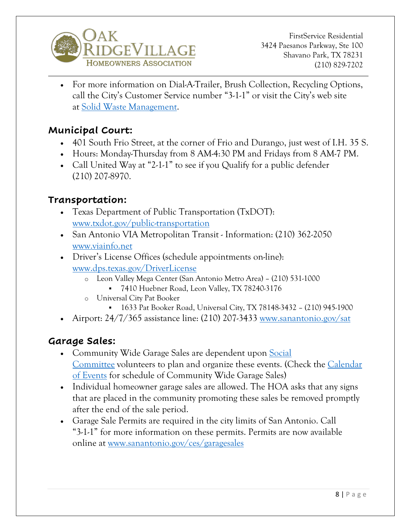

• For more information on Dial-A-Trailer, Brush Collection, Recycling Options, call the City's Customer Service number "3-1-1" or visit the City's web site at [Solid Waste Management.](http://www.sanantonio.gov/swmd/)

## **Municipal Court:**

- 401 South Frio Street, at the corner of Frio and Durango, just west of I.H. 35 S.
- Hours: Monday-Thursday from 8 AM-4:30 PM and Fridays from 8 AM-7 PM.
- Call United Way at "2-1-1" to see if you Qualify for a public defender (210) 207-8970.

#### **Transportation:**

- Texas Department of Public Transportation (TxDOT): [www.txdot.gov/public-transportation](https://www.txdot.gov/inside-txdot/division/public-transportation.html)
- San Antonio VIA Metropolitan Transit Information: (210) 362-2050 [www.viainfo.net](https://www.viainfo.net/)
- Driver's License Offices (schedule appointments on-line): [www.dps.texas.gov/DriverLicense](http://www.dps.texas.gov/DriverLicense/)
	- o Leon Valley Mega Center (San Antonio Metro Area) (210) 531-1000 ▪ 7410 Huebner Road, Leon Valley, TX 78240-3176
	- o Universal City Pat Booker
		- 1633 Pat Booker Road, Universal City, TX 78148-3432 (210) 945-1900
- Airport:  $24/7/365$  assistance line: (210) 207-3433 [www.sanantonio.gov/sat](https://www.sanantonio.gov/sat/)

#### **Garage Sales:**

- Community Wide Garage Sales are dependent upon Social [Committee](http://www.orvhoa.org/committees/) volunteers to plan and organize these events. (Check the [Calendar](https://orvhoa.org/events/category/events/)  [of Events](https://orvhoa.org/events/category/events/) for schedule of Community Wide Garage Sales)
- Individual homeowner garage sales are allowed. The HOA asks that any signs that are placed in the community promoting these sales be removed promptly after the end of the sale period.
- Garage Sale Permits are required in the city limits of San Antonio. Call "3-1-1" for more information on these permits. Permits are now available online at [www.sanantonio.gov/ces/garagesales](http://www.sanantonio.gov/ces/garagesales)